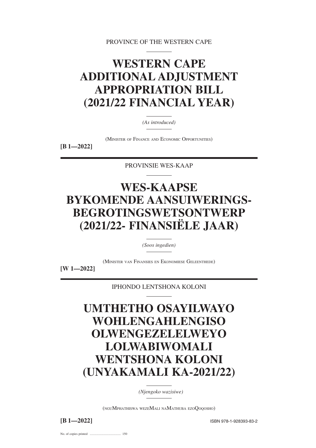PROVINCE OF THE WESTERN CAPE

# **WESTERN CAPE ADDITIONAL ADJUSTMENT APPROPRIATION BILL (2021/22 FINANCIAL YEAR)**

*(As introduced)*

(MINISTER OF FINANCE AND ECONOMIC OPPORTUNITIES)

**[B 1—2022]**

PROVINSIE WES-KAAP

# **WES-KAAPSE BYKOMENDE AANSUIWERINGS-BEGROTINGSWETSONTWERP (2021/22- FINANSIËLE JAAR)**

*(Soos ingedien)*

(MINISTER VAN FINANSIES EN EKONOMIESE GELEENTHEDE)

**[W 1—2022]**

IPHONDO LENTSHONA KOLONI

**UMTHETHO OSAYILWAYO WOHLENGAHLENGISO OLWENGEZELELWEYO LOLWABIWOMALI WENTSHONA KOLONI (UNYAKAMALI KA-2021/22)**

*(Njengoko wazisiwe)*

(NGUMPHATHISWA WEZEMALI NAMATHUBA EZOQOQOSHO)

**[B 1—2022]** ISBN 978-1-928393-83-2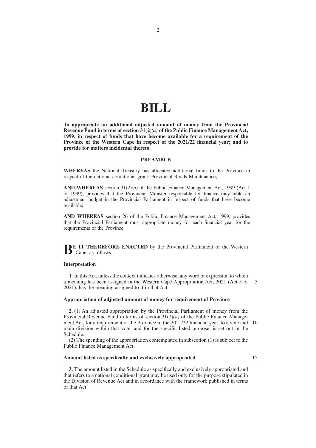## **BILL**

**To appropriate an additional adjusted amount of money from the Provincial Revenue Fund in terms of section 31(2)***(a)* **of the Public Finance Management Act, 1999, in respect of funds that have become available for a requirement of the Province of the Western Cape in respect of the 2021/22 financial year; and to provide for matters incidental thereto.**

#### **PREAMBLE**

**WHEREAS** the National Treasury has allocated additional funds to the Province in respect of the national conditional grant: Provincial Roads Maintenance;

**AND WHEREAS** section 31(2)*(a)* of the Public Finance Management Act, 1999 (Act 1 of 1999), provides that the Provincial Minister responsible for finance may table an adjustment budget in the Provincial Parliament in respect of funds that have become available;

**AND WHEREAS** section 26 of the Public Finance Management Act, 1999, provides that the Provincial Parliament must appropriate money for each financial year for the requirements of the Province,

**BE IT THEREFORE ENACTED** by the Provincial Parliament of the Western  $B_{\text{cape, as follows:}}$ 

#### **Interpretation**

**1.** In this Act, unless the context indicates otherwise, any word or expression to which a meaning has been assigned in the Western Cape Appropriation Act, 2021 (Act 5 of 5 2021), has the meaning assigned to it in that Act.

### **Appropriation of adjusted amount of money for requirement of Province**

**2.** (1) An adjusted appropriation by the Provincial Parliament of money from the Provincial Revenue Fund in terms of section 31(2)*(a)* of the Public Finance Management Act, for a requirement of the Province in the 2021/22 financial year, to a vote and 10 main division within that vote, and for the specific listed purpose, is set out in the Schedule.

(2) The spending of the appropriation contemplated in subsection (1) is subject to the Public Finance Management Act.

### **Amount listed as specifically and exclusively appropriated**

15

**3.** The amount listed in the Schedule as specifically and exclusively appropriated and that refers to a national conditional grant may be used only for the purpose stipulated in the Division of Revenue Act and in accordance with the framework published in terms of that Act.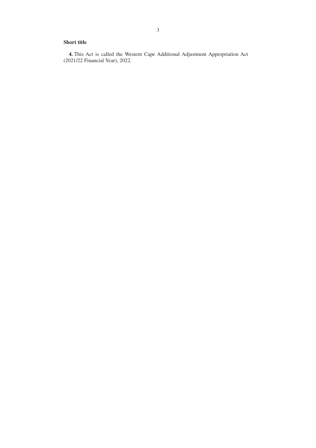### **Short title**

**4.** This Act is called the Western Cape Additional Adjustment Appropriation Act (2021/22 Financial Year), 2022.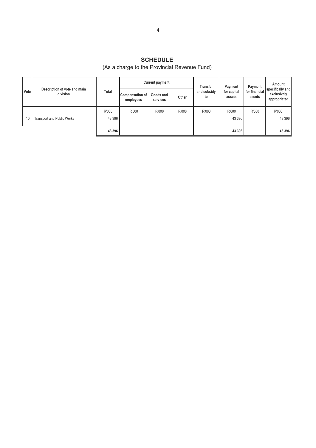### **SCHEDULE**

### (As a charge to the Provincial Revenue Fund)

|  |      | Description of vote and main<br>division |         |                                     | <b>Current payment</b> |       | Transfer<br>and subsidy<br>to | Payment               | Payment                 | Amount                                          |  |
|--|------|------------------------------------------|---------|-------------------------------------|------------------------|-------|-------------------------------|-----------------------|-------------------------|-------------------------------------------------|--|
|  | Vote |                                          | Total   | <b>Compensation of</b><br>employees | Goods and<br>services  | Other |                               | for capital<br>assets | for financial<br>assets | specifically and<br>exclusively<br>appropriated |  |
|  |      |                                          | R'000   | R'000                               | R'000                  | R'000 | R'000                         | R'000                 | R'000                   | R'000                                           |  |
|  | 10   | <b>Transport and Public Works</b>        | 43 3 96 |                                     |                        |       |                               | 43 396                |                         | 43 396                                          |  |
|  |      |                                          | 43 3 96 |                                     |                        |       |                               | 43 396                |                         | 43 396                                          |  |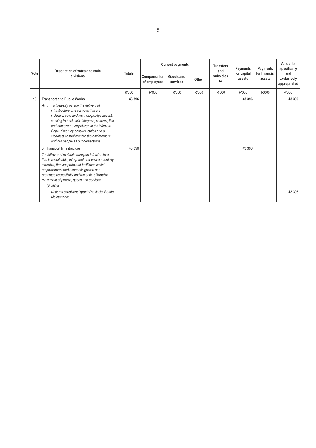|      |                                                                                                                                                                                                                                                                                                                                                              |               |                              | <b>Current payments</b> |       | <b>Transfers</b>       | Payments              | Payments                | <b>Amounts</b><br>specifically     |
|------|--------------------------------------------------------------------------------------------------------------------------------------------------------------------------------------------------------------------------------------------------------------------------------------------------------------------------------------------------------------|---------------|------------------------------|-------------------------|-------|------------------------|-----------------------|-------------------------|------------------------------------|
| Vote | Description of votes and main<br>divisions                                                                                                                                                                                                                                                                                                                   | <b>Totals</b> | Compensation<br>of employees | Goods and<br>services   | Other | and<br>subsidies<br>to | for capital<br>assets | for financial<br>assets | and<br>exclusively<br>appropriated |
|      |                                                                                                                                                                                                                                                                                                                                                              | R'000         | R'000                        | R'000                   | R'000 | R'000                  | R'000                 | R'000                   | R'000                              |
| 10   | <b>Transport and Public Works</b>                                                                                                                                                                                                                                                                                                                            | 43 396        |                              |                         |       |                        | 43 396                |                         | 43 396                             |
|      | Aim: To tirelessly pursue the delivery of<br>infrastructure and services that are<br>inclusive, safe and technologically relevant,<br>seeking to heal, skill, integrate, connect, link<br>and empower every citizen in the Western<br>Cape, driven by passion, ethics and a<br>steadfast commitment to the environment<br>and our people as our cornerstone. |               |                              |                         |       |                        |                       |                         |                                    |
|      | Transport Infrastructure<br>3                                                                                                                                                                                                                                                                                                                                | 43 396        |                              |                         |       |                        | 43 3 96               |                         |                                    |
|      | To deliver and maintain transport infrastructure<br>that is sustainable, integrated and environmentally<br>sensitive, that supports and facilitates social<br>empowerment and economic growth and<br>promotes accessibility and the safe, affordable<br>movement of people, goods and services.                                                              |               |                              |                         |       |                        |                       |                         |                                    |
|      | Of which                                                                                                                                                                                                                                                                                                                                                     |               |                              |                         |       |                        |                       |                         | 43 396                             |
|      | National conditional grant: Provincial Roads<br>Maintenance                                                                                                                                                                                                                                                                                                  |               |                              |                         |       |                        |                       |                         |                                    |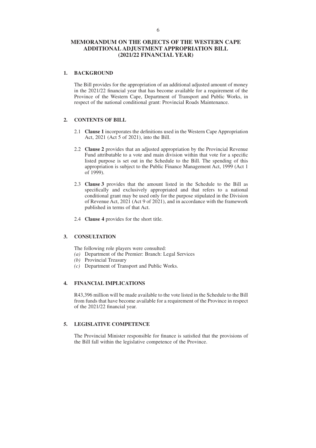### **MEMORANDUM ON THE OBJECTS OF THE WESTERN CAPE ADDITIONAL ADJUSTMENT APPROPRIATION BILL (2021/22 FINANCIAL YEAR)**

### **1. BACKGROUND**

The Bill provides for the appropriation of an additional adjusted amount of money in the 2021/22 financial year that has become available for a requirement of the Province of the Western Cape, Department of Transport and Public Works, in respect of the national conditional grant: Provincial Roads Maintenance.

### **2. CONTENTS OF BILL**

- 2.1 **Clause 1** incorporates the definitions used in the Western Cape Appropriation Act, 2021 (Act 5 of 2021), into the Bill.
- 2.2 **Clause 2** provides that an adjusted appropriation by the Provincial Revenue Fund attributable to a vote and main division within that vote for a specific listed purpose is set out in the Schedule to the Bill. The spending of this appropriation is subject to the Public Finance Management Act, 1999 (Act 1 of 1999).
- 2.3 **Clause 3** provides that the amount listed in the Schedule to the Bill as specifically and exclusively appropriated and that refers to a national conditional grant may be used only for the purpose stipulated in the Division of Revenue Act, 2021 (Act 9 of 2021), and in accordance with the framework published in terms of that Act.
- 2.4 **Clause 4** provides for the short title.

### **3. CONSULTATION**

The following role players were consulted:

- *(a)* Department of the Premier: Branch: Legal Services
- *(b)* Provincial Treasury
- *(c)* Department of Transport and Public Works.

### **4. FINANCIAL IMPLICATIONS**

R43,396 million will be made available to the vote listed in the Schedule to the Bill from funds that have become available for a requirement of the Province in respect of the 2021/22 financial year.

### **5. LEGISLATIVE COMPETENCE**

The Provincial Minister responsible for finance is satisfied that the provisions of the Bill fall within the legislative competence of the Province.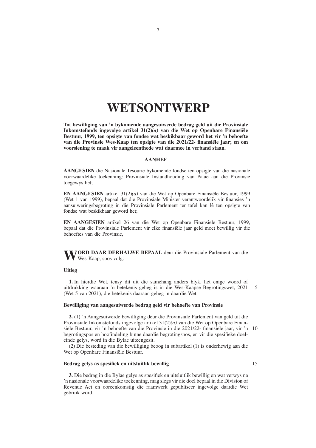## **WETSONTWERP**

**Tot bewilliging van 'n bykomende aangesuiwerde bedrag geld uit die Provinsiale Inkomstefonds ingevolge artikel 31(2)***(a)* **van die Wet op Openbare Finansiële Bestuur, 1999, ten opsigte van fondse wat beskikbaar geword het vir 'n behoefte van die Provinsie Wes-Kaap ten opsigte van die 2021/22- finansiële jaar; en om voorsiening te maak vir aangeleenthede wat daarmee in verband staan.**

### **AANHEF**

**AANGESIEN** die Nasionale Tesourie bykomende fondse ten opsigte van die nasionale voorwaardelike toekenning: Provinsiale Instandhouding van Paaie aan die Provinsie toegewys het;

**EN AANGESIEN** artikel 31(2)*(a)* van die Wet op Openbare Finansiële Bestuur, 1999 (Wet 1 van 1999), bepaal dat die Provinsiale Minister verantwoordelik vir finansies 'n aansuiweringsbegroting in die Provinsiale Parlement ter tafel kan lê ten opsigte van fondse wat beskikbaar geword het;

**EN AANGESIEN** artikel 26 van die Wet op Openbare Finansiële Bestuur, 1999, bepaal dat die Provinsiale Parlement vir elke finansiële jaar geld moet bewillig vir die behoeftes van die Provinsie,

**WORD DAAR DERHALWE BEPAAL** deur die Provinsiale Parlement van die Wes-Kaap, soos volg:—

#### **Uitleg**

**1.** In hierdie Wet, tensy dit uit die samehang anders blyk, het enige woord of uitdrukking waaraan 'n betekenis geheg is in die Wes-Kaapse Begrotingswet, 2021 (Wet 5 van 2021), die betekenis daaraan geheg in daardie Wet. 5

### **Bewilliging van aangesuiwerde bedrag geld vir behoefte van Provinsie**

**2.** (1) 'n Aangesuiwerde bewilliging deur die Provinsiale Parlement van geld uit die Provinsiale Inkomstefonds ingevolge artikel 31(2)*(a)* van die Wet op Openbare Finansiële Bestuur, vir 'n behoefte van die Provinsie in die 2021/22- finansiële jaar, vir 'n 10 begrotingspos en hoofindeling binne daardie begrotingspos, en vir die spesifieke doeleinde gelys, word in die Bylae uiteengesit.

(2) Die besteding van die bewilliging beoog in subartikel (1) is onderhewig aan die Wet op Openbare Finansiële Bestuur.

### **Bedrag gelys as spesifiek en uitsluitlik bewillig**

15

**3.** Die bedrag in die Bylae gelys as spesifiek en uitsluitlik bewillig en wat verwys na 'n nasionale voorwaardelike toekenning, mag slegs vir die doel bepaal in die Division of Revenue Act en ooreenkomstig die raamwerk gepubliseer ingevolge daardie Wet gebruik word.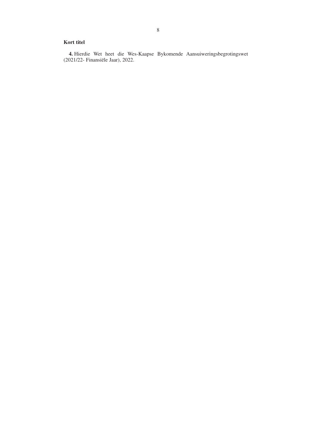### **Kort titel**

**4.** Hierdie Wet heet die Wes-Kaapse Bykomende Aansuiweringsbegrotingswet (2021/22- Finansiële Jaar), 2022.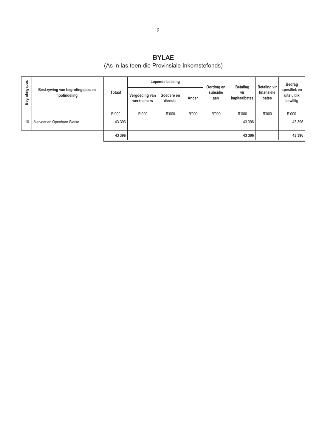### **BYLAE**

## (As 'n las teen die Provinsiale Inkomstefonds)

|                      |                                                 |        |                              | Lopende betaling      |       | Oordrag en<br>subsidie<br>aan | <b>Betaling</b><br>vir<br>kapitaalbates | Betaling vir<br>finansiële<br>bates | Bedrag                                  |  |
|----------------------|-------------------------------------------------|--------|------------------------------|-----------------------|-------|-------------------------------|-----------------------------------------|-------------------------------------|-----------------------------------------|--|
| <b>Begrotingspos</b> | Beskrywing van begrotingspos en<br>hoofindeling | Totaal | Vergoeding van<br>werknemers | Goedere en<br>dienste | Ander |                               |                                         |                                     | spesifiek en<br>uitsluitlik<br>bewillig |  |
|                      |                                                 | R'000  | R'000                        | R'000                 | R'000 | R'000                         | R'000                                   | R'000                               | R'000                                   |  |
| 10                   | Vervoer en Openbare Werke                       | 43 396 |                              |                       |       |                               | 43 396                                  |                                     | 43 396                                  |  |
|                      |                                                 | 43 396 |                              |                       |       |                               | 43 396                                  |                                     | 43 396                                  |  |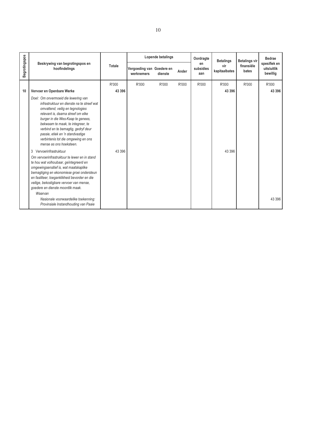|               |                                                                                                                                                                                                                                                                                                                                                                                     |        |                                         | Lopende betalings |       | Oordragte              | <b>Betalings</b><br>vir<br>kapitaalbates | <b>Betalings vir</b> | Bedrae<br>spesifiek en<br>uitsluitlik<br>bewillig |
|---------------|-------------------------------------------------------------------------------------------------------------------------------------------------------------------------------------------------------------------------------------------------------------------------------------------------------------------------------------------------------------------------------------|--------|-----------------------------------------|-------------------|-------|------------------------|------------------------------------------|----------------------|---------------------------------------------------|
| Begrotingspos | Beskrywing van begrotingspos en<br>hoofindelings                                                                                                                                                                                                                                                                                                                                    | Totale | Vergoeding van Goedere en<br>werknemers | dienste           | Ander | en<br>subsidies<br>aan |                                          | finansiële<br>bates  |                                                   |
|               |                                                                                                                                                                                                                                                                                                                                                                                     | R'000  | R'000                                   | R'000             | R'000 | R'000                  | R'000                                    | R'000                | R'000                                             |
| 10            | Vervoer en Openbare Werke                                                                                                                                                                                                                                                                                                                                                           | 43 396 |                                         |                   |       |                        | 43 396                                   |                      | 43 396                                            |
|               | Doel: Om onvermoeid die lewering van<br>infrastruktuur en dienste na te streef wat<br>omvattend, veilig en tegnologies<br>relevant is, daarna streef om elke<br>burger in die Wes-Kaap te genees,<br>bekwaam te maak, te integreer, te<br>verbind en te bemagtig, gedryf deur<br>passie, etiek en 'n standvastige<br>verbintenis tot die omgewing en ons<br>mense as ons hoeksteen. |        |                                         |                   |       |                        |                                          |                      |                                                   |
|               | 3 Vervoerinfrastruktuur<br>Om vervoerinfrastruktuur te lewer en in stand<br>te hou wat volhoubaar, geïntegreerd en<br>omgewingsensitief is, wat maatskaplike<br>bemagtiging en ekonomiese groei ondersteun<br>en fasiliteer, toeganklikheid bevorder en die<br>veilige, bekostigbare vervoer van mense,<br>goedere en dienste moontlik maak.<br>Waarvan                             | 43 396 |                                         |                   |       |                        | 43 396                                   |                      |                                                   |
|               | Nasionale voorwaardelike toekenning:<br>Provinsiale Instandhouding van Paaie                                                                                                                                                                                                                                                                                                        |        |                                         |                   |       |                        |                                          |                      | 43 396                                            |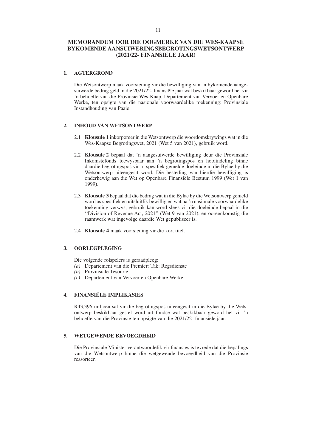### **MEMORANDUM OOR DIE OOGMERKE VAN DIE WES-KAAPSE BYKOMENDE AANSUIWERINGSBEGROTINGSWETSONTWERP (2021/22- FINANSIËLE JAAR)**

### **1. AGTERGROND**

Die Wetsontwerp maak voorsiening vir die bewilliging van 'n bykomende aangesuiwerde bedrag geld in die 2021/22- finansiële jaar wat beskikbaar geword het vir 'n behoefte van die Provinsie Wes-Kaap, Departement van Vervoer en Openbare Werke, ten opsigte van die nasionale voorwaardelike toekenning: Provinsiale Instandhouding van Paaie.

### **2. INHOUD VAN WETSONTWERP**

- 2.1 **Klousule 1** inkorporeer in die Wetsontwerp die woordomskrywings wat in die Wes-Kaapse Begrotingswet, 2021 (Wet 5 van 2021), gebruik word.
- 2.2 **Klousule 2** bepaal dat 'n aangesuiwerde bewilliging deur die Provinsiale Inkomstefonds toewysbaar aan 'n begrotingspos en hoofindeling binne daardie begrotingspos vir 'n spesifiek gemelde doeleinde in die Bylae by die Wetsontwerp uiteengesit word. Die besteding van hierdie bewilliging is onderhewig aan die Wet op Openbare Finansiële Bestuur, 1999 (Wet 1 van 1999).
- 2.3 **Klousule 3** bepaal dat die bedrag wat in die Bylae by die Wetsontwerp gemeld word as spesifiek en uitsluitlik bewillig en wat na 'n nasionale voorwaardelike toekenning verwys, gebruik kan word slegs vir die doeleinde bepaal in die ''Division of Revenue Act, 2021'' (Wet 9 van 2021), en ooreenkomstig die raamwerk wat ingevolge daardie Wet gepubliseer is.
- 2.4 **Klousule 4** maak voorsiening vir die kort titel.

### **3. OORLEGPLEGING**

Die volgende rolspelers is geraadpleeg:

- *(a)* Departement van die Premier: Tak: Regsdienste
- *(b)* Provinsiale Tesourie
- *(c)* Departement van Vervoer en Openbare Werke.

### **4. FINANSIËLE IMPLIKASIES**

R43,396 miljoen sal vir die begrotingspos uiteengesit in die Bylae by die Wetsontwerp beskikbaar gestel word uit fondse wat beskikbaar geword het vir 'n behoefte van die Provinsie ten opsigte van die 2021/22- finansiële jaar.

### **5. WETGEWENDE BEVOEGDHEID**

Die Provinsiale Minister verantwoordelik vir finansies is tevrede dat die bepalings van die Wetsontwerp binne die wetgewende bevoegdheid van die Provinsie ressorteer.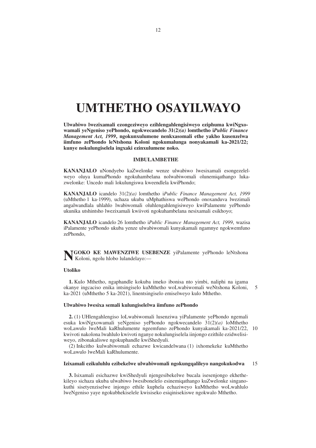# **UMTHETHO OSAYILWAYO**

**Ulwabiwo lwezixamali ezongeziweyo ezihlengahlengisiweyo eziphuma kwiNgxowamali yeNgeniso yePhondo, ngokwecandelo 31(2)***(a)* **lomthetho i***Public Finance Management Act, 1999***, ngokunxulumene nenkxasomali ethe yakho kusenzelwa iimfuno zePhondo leNtshona Koloni ngokumalunga nonyakamali ka-2021/22; kunye nokulungiselela ingxaki ezinxulumene noko.**

### **IMBULAMBETHE**

**KANANJALO** uNondyebo kaZwelonke wenze ulwabiwo lwesixamali esongezelelweyo oluya kumaPhondo ngokuhambelana nolwabiwomali olunemiqathango lukazwelonke: Uncedo mali lokulungiswa kweendlela kwiPhondo;

**KANANJALO** icandelo 31(2)*(a)* lomthetho i*Public Finance Management Act, 1999* (uMthetho 1 ka-1999), uchaza ukuba uMphathiswa wePhondo onoxanduva lwezimali angalwandlala uhlahlo lwabiwomali oluhlengahlengisiweyo kwiPalamente yePhondo ukunika utshintsho lwezixamali kwiivoti ngokuhambelana nesixamali esikhoyo;

**KANANJALO** icandelo 26 lomthetho i*Public Finance Management Act, 1999*, wazisa iPalamente yePhondo ukuba yenze ulwabiwomali kunyakamali ngamnye ngokwemfuno zePhondo,

**NGOKO KE MAWENZIWE USEBENZE** yiPalamente yePhondo leNtshona Koloni, ngolu hlobo lulandelayo:—

### **Utoliko**

**1.** Kulo Mthetho, ngaphandle kokuba imeko ibonisa nto yimbi, naliphi na igama okanye ingcaciso enika intsingiselo kuMthetho woLwabiwomali weNtshona Koloni, ka-2021 (uMthetho 5 ka-2021), linentsingiselo emiselweyo kulo Mthetho. 5

### **Ulwabiwo lwesixa semali kulungiselelwa iimfuno zePhondo**

**2.** (1) UHlengahlengiso loLwabiwomali lusenziwa yiPalamente yePhondo ngemali esuka kwiNgxowamali yeNgeniso yePhondo ngokwecandelo 31(2)*(a)* loMthetho woLawulo lweMali kaRhulumente ngeemfuno zePhondo kunyakamali ka-2021/22, 10 kwivoti nakolona lwahlulo kwivoti nganye nokulungiselela iinjongo ezithile ezidwelisiweyo, zibonakaliswe ngokuphandle kwiShedyuli.

(2) Inkcitho kulwabiwomali echazwe kwicandelwana (1) ixhomekeke kuMthetho woLawulo lweMali kaRhulumente.

#### **Izixamali ezikuluhlu ezibekelwe ulwabiwomali ngokungqalileyo nangokukodwa** 15

**3.** Isixamali esichazwe kwiShedyuli njengesibekelwe bucala isesenjongo ekhethekileyo sichaza ukuba ulwabiwo lwesibonelelo esinemiqathango kuZwelonke singanokuthi sisetyenziselwe injongo ethile kuphela echaziweyo kuMthetho woLwahlulo lweNgeniso yaye ngokubhekiselele kwisiseko esiqinisekiswe ngokwalo Mthetho.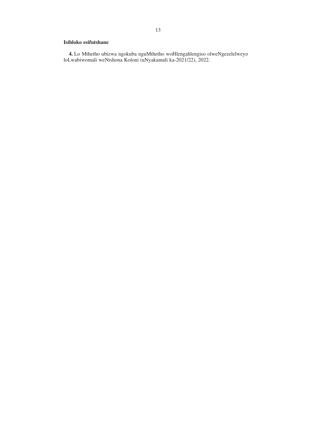### **Isihloko esifutshane**

**4.** Lo Mthetho ubizwa ngokuba nguMthetho woHlengahlengiso olweNgezelelweyo loLwabiwomali weNtshona Koloni (uNyakamali ka-2021/22), 2022.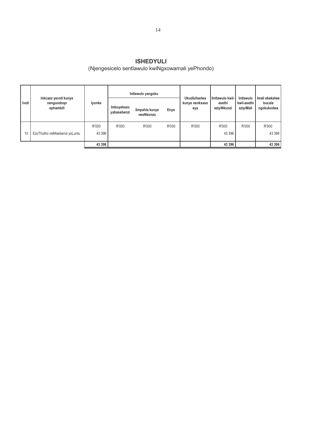### **ISHEDYULI** (Njengesicelo sentlawulo kwiNgxowamali yePhondo)

|         |                                                 |                  |                           | Intlawulo yangoku           |       |                                        |                                           |                                       | Imali ebekelwe<br>bucala<br>ngokukodwa |
|---------|-------------------------------------------------|------------------|---------------------------|-----------------------------|-------|----------------------------------------|-------------------------------------------|---------------------------------------|----------------------------------------|
| l Ivoti | Inkcazo yevoti kunye<br>nengundoqo<br>ephambili | lyonke           | Imbuyekezo<br>yabasebenzi | limpahla kunye<br>neeNkonzo | Enye  | Ukudluliselwa<br>kunye nenkxaso<br>eya | lintlawulo kwii-<br>asethi<br>eziyiNkunzi | Intlawulo<br>kwii-asethi<br>eziyiMali |                                        |
| 10      | EzoThutho neMisebenzi yoLuntu                   | R'000<br>43 3 96 | R'000                     | R'000                       | R'000 | R'000                                  | R'000<br>43 396                           | R'000                                 | R'000<br>43 396                        |
|         |                                                 | 43 396           |                           |                             |       |                                        | 43 396                                    |                                       | 43 396                                 |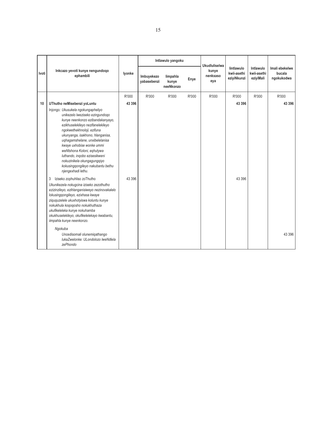|       |                                                                                                                                                                                                                                                                                                                                                                                                                                                                         |        |                           | Intlawulo yangoku              |       | <b>Ukudluliselwa</b>     |                                          |                                       |                                        |
|-------|-------------------------------------------------------------------------------------------------------------------------------------------------------------------------------------------------------------------------------------------------------------------------------------------------------------------------------------------------------------------------------------------------------------------------------------------------------------------------|--------|---------------------------|--------------------------------|-------|--------------------------|------------------------------------------|---------------------------------------|----------------------------------------|
| Ivoti | Inkcazo yevoti kunye nengundoqo<br>ephambili                                                                                                                                                                                                                                                                                                                                                                                                                            | lyonke | Imbuyekezo<br>yabasebenzi | limpahla<br>kunye<br>neeNkonzo | Enye  | kunye<br>nenkxaso<br>eya | lintlawulo<br>kwii-asethi<br>eziyiNkunzi | Intlawulo<br>kwii-asethi<br>eziyiMali | Imali ebekelwe<br>bucala<br>ngokukodwa |
|       |                                                                                                                                                                                                                                                                                                                                                                                                                                                                         | R'000  | R'000                     | R'000                          | R'000 | R'000                    | R'000                                    | R'000                                 | R'000                                  |
| 10    | UThutho neMisebenzi yoLuntu<br>Injongo: Ukusukela ngokungapheliyo<br>unikezelo lweziseko ezingundogo<br>kunye neenkonzo ezibandakanyayo,<br>ezikhuselekileyo nezifanelekileyo<br>ngokwethekhnoloji, ezifuna<br>ukunyanga, isakhono, hlanganisa,<br>uqhagamshelane, unxibelelanisa<br>kwaye uxhobise wonke ummi<br>weNtshona Koloni, eqhutywa<br>luthando, ingobo ezisesikweni<br>nokuzinikela okungagungqiyo<br>kokusingqongileyo nakubantu bethu<br>njengexhadi lethu. | 43 396 |                           |                                |       |                          | 43 396                                   |                                       | 43 396                                 |
|       | Iziseko zophuhliso zoThutho<br>3<br>Ukunikezela nokugcina iziseko zezothutho<br>ezizinzileyo, ezihlanganisiweyo nezinovakalelo<br>lokusinggongileyo, ezixhasa kwaye<br>ziququzelele ukuxhotyiswa koluntu kunye<br>nokukhula koqoqosho nokukhuthaza<br>ukufikeleleka kunye nokuhamba<br>okukhuselekileyo, okufikelelekayo kwabantu,<br>iimpahla kunye neenkonzo.<br>Ngokuba<br>Uncedisomali olunemigathango<br>lukaZwelonke: ULondolozo lweNdlela<br>zePhondo            | 43 396 |                           |                                |       |                          | 43 396                                   |                                       | 43 396                                 |